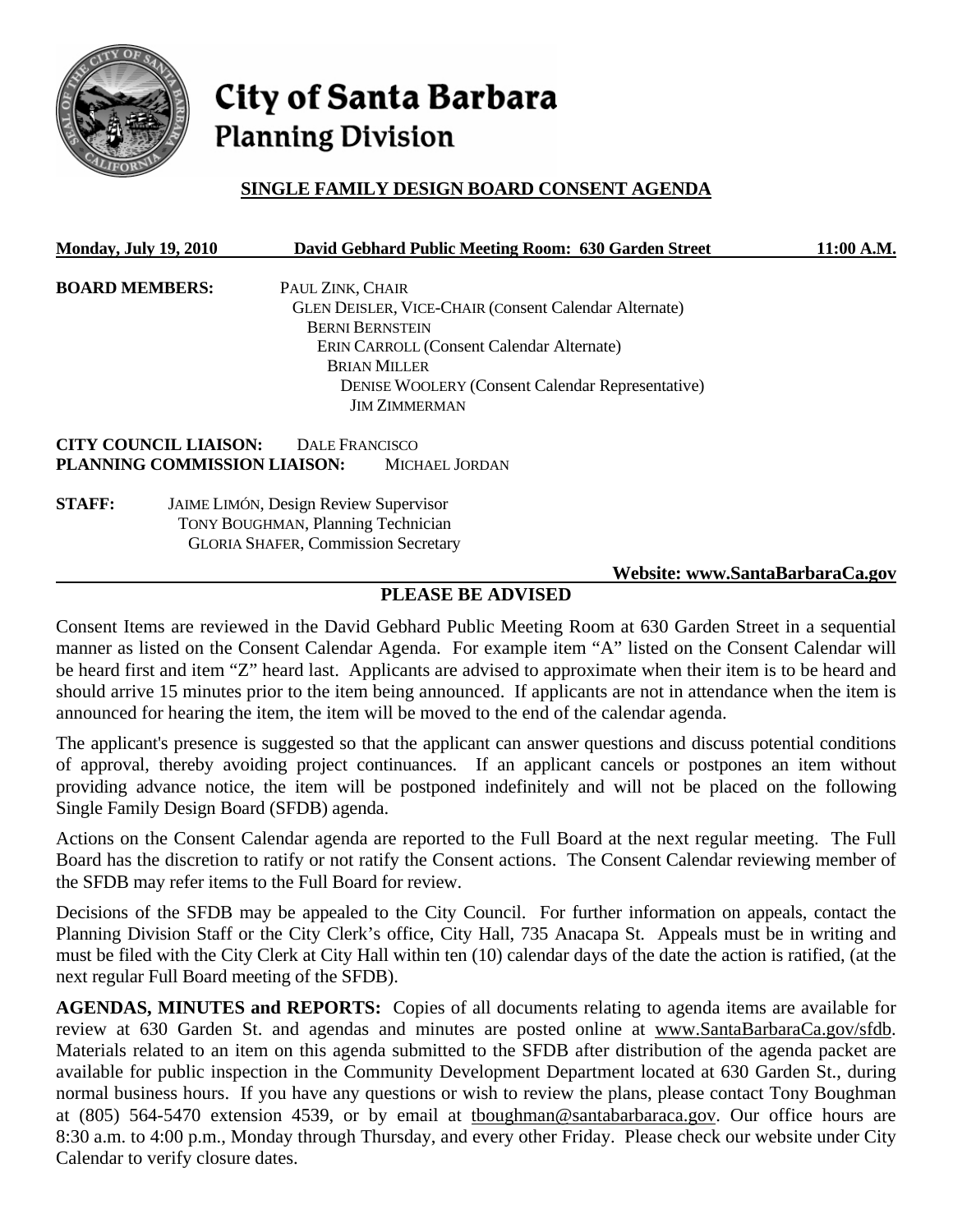

# City of Santa Barbara **Planning Division**

# **SINGLE FAMILY DESIGN BOARD CONSENT AGENDA**

| <b>Monday, July 19, 2010</b> |                                                                                                                                         |                        | David Gebhard Public Meeting Room: 630 Garden Street         | 11:00 A.M.                      |
|------------------------------|-----------------------------------------------------------------------------------------------------------------------------------------|------------------------|--------------------------------------------------------------|---------------------------------|
| <b>BOARD MEMBERS:</b>        |                                                                                                                                         | PAUL ZINK, CHAIR       |                                                              |                                 |
|                              |                                                                                                                                         |                        | <b>GLEN DEISLER, VICE-CHAIR (Consent Calendar Alternate)</b> |                                 |
|                              |                                                                                                                                         | <b>BERNI BERNSTEIN</b> |                                                              |                                 |
|                              |                                                                                                                                         |                        | <b>ERIN CARROLL (Consent Calendar Alternate)</b>             |                                 |
| <b>BRIAN MILLER</b>          |                                                                                                                                         |                        |                                                              |                                 |
|                              |                                                                                                                                         |                        | <b>DENISE WOOLERY (Consent Calendar Representative)</b>      |                                 |
|                              |                                                                                                                                         |                        | <b>JIM ZIMMERMAN</b>                                         |                                 |
|                              | <b>CITY COUNCIL LIAISON:</b>                                                                                                            | DALE FRANCISCO         |                                                              |                                 |
|                              | PLANNING COMMISSION LIAISON:                                                                                                            |                        | <b>MICHAEL JORDAN</b>                                        |                                 |
| <b>STAFF:</b>                | <b>JAIME LIMÓN, Design Review Supervisor</b><br><b>TONY BOUGHMAN, Planning Technician</b><br><b>GLORIA SHAFER, Commission Secretary</b> |                        |                                                              |                                 |
|                              |                                                                                                                                         |                        |                                                              | Website: www.SantaBarbaraCa.gov |

# **PLEASE BE ADVISED**

Consent Items are reviewed in the David Gebhard Public Meeting Room at 630 Garden Street in a sequential manner as listed on the Consent Calendar Agenda. For example item "A" listed on the Consent Calendar will be heard first and item "Z" heard last. Applicants are advised to approximate when their item is to be heard and should arrive 15 minutes prior to the item being announced. If applicants are not in attendance when the item is announced for hearing the item, the item will be moved to the end of the calendar agenda.

The applicant's presence is suggested so that the applicant can answer questions and discuss potential conditions of approval, thereby avoiding project continuances. If an applicant cancels or postpones an item without providing advance notice, the item will be postponed indefinitely and will not be placed on the following Single Family Design Board (SFDB) agenda.

Actions on the Consent Calendar agenda are reported to the Full Board at the next regular meeting. The Full Board has the discretion to ratify or not ratify the Consent actions. The Consent Calendar reviewing member of the SFDB may refer items to the Full Board for review.

Decisions of the SFDB may be appealed to the City Council. For further information on appeals, contact the Planning Division Staff or the City Clerk's office, City Hall, 735 Anacapa St. Appeals must be in writing and must be filed with the City Clerk at City Hall within ten (10) calendar days of the date the action is ratified, (at the next regular Full Board meeting of the SFDB).

**AGENDAS, MINUTES and REPORTS:** Copies of all documents relating to agenda items are available for review at 630 Garden St. and agendas and minutes are posted online at www.SantaBarbaraCa.gov/sfdb. Materials related to an item on this agenda submitted to the SFDB after distribution of the agenda packet are available for public inspection in the Community Development Department located at 630 Garden St., during normal business hours. If you have any questions or wish to review the plans, please contact Tony Boughman at (805) 564-5470 extension 4539, or by email at tboughman@santabarbaraca.gov. Our office hours are 8:30 a.m. to 4:00 p.m., Monday through Thursday, and every other Friday. Please check our website under City Calendar to verify closure dates.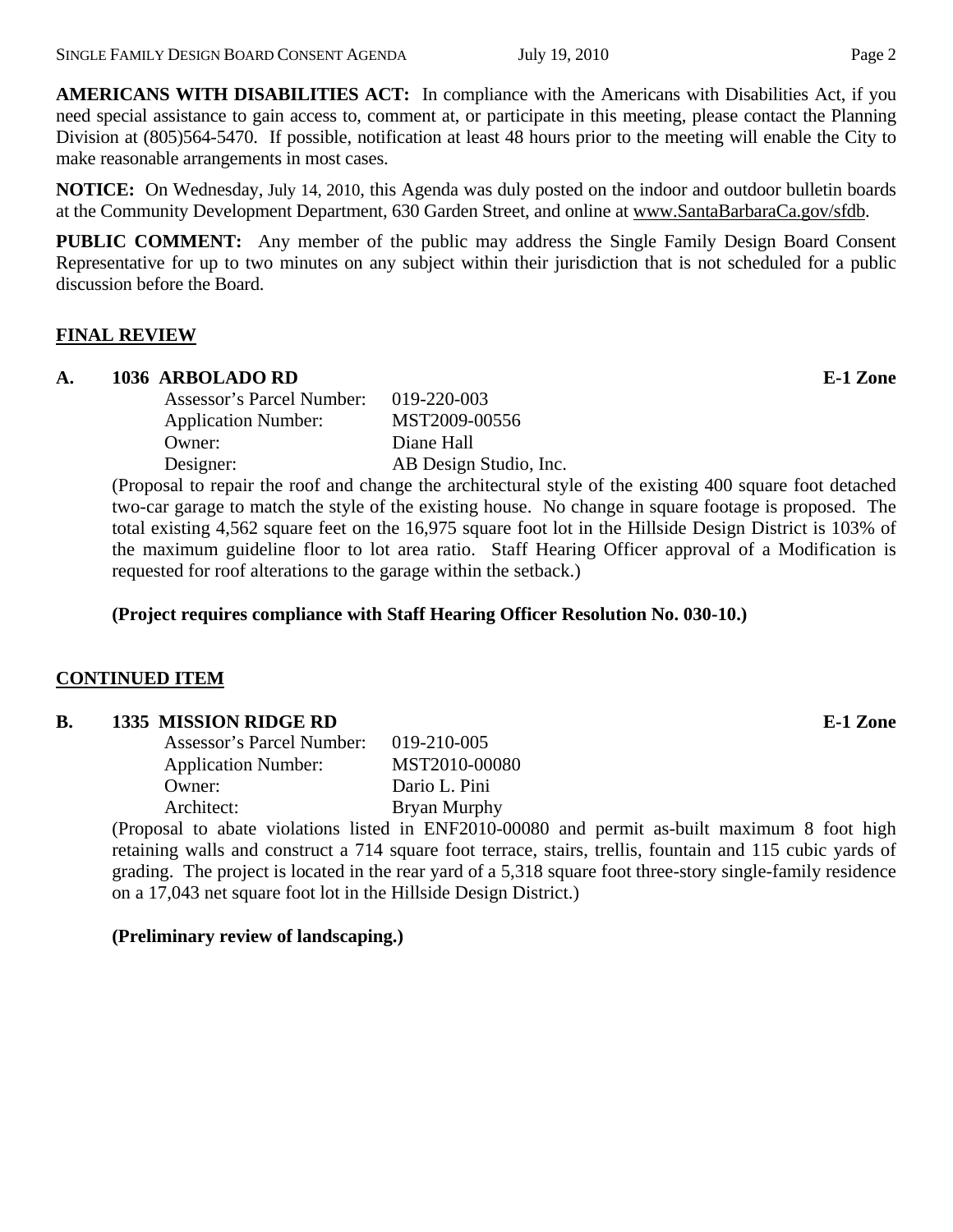**AMERICANS WITH DISABILITIES ACT:** In compliance with the Americans with Disabilities Act, if you need special assistance to gain access to, comment at, or participate in this meeting, please contact the Planning Division at (805)564-5470. If possible, notification at least 48 hours prior to the meeting will enable the City to make reasonable arrangements in most cases.

**NOTICE:** On Wednesday, July 14, 2010, this Agenda was duly posted on the indoor and outdoor bulletin boards at the Community Development Department, 630 Garden Street, and online at www.SantaBarbaraCa.gov/sfdb.

**PUBLIC COMMENT:** Any member of the public may address the Single Family Design Board Consent Representative for up to two minutes on any subject within their jurisdiction that is not scheduled for a public discussion before the Board.

#### **FINAL REVIEW**

#### **A. 1036 ARBOLADO RD E-1 Zone**

| Assessor's Parcel Number:  | 019-220-003            |
|----------------------------|------------------------|
| <b>Application Number:</b> | MST2009-00556          |
| Owner:                     | Diane Hall             |
| Designer:                  | AB Design Studio, Inc. |
|                            |                        |

(Proposal to repair the roof and change the architectural style of the existing 400 square foot detached two-car garage to match the style of the existing house. No change in square footage is proposed. The total existing 4,562 square feet on the 16,975 square foot lot in the Hillside Design District is 103% of the maximum guideline floor to lot area ratio. Staff Hearing Officer approval of a Modification is requested for roof alterations to the garage within the setback.)

**(Project requires compliance with Staff Hearing Officer Resolution No. 030-10.)** 

## **CONTINUED ITEM**

## **B.** 1335 MISSION RIDGE RD **E-1** Zone

| Assessor's Parcel Number:  | 019-210-005   |
|----------------------------|---------------|
| <b>Application Number:</b> | MST2010-00080 |
| Owner:                     | Dario L. Pini |
| Architect:                 | Bryan Murphy  |
|                            | $\overline{}$ |

(Proposal to abate violations listed in ENF2010-00080 and permit as-built maximum 8 foot high retaining walls and construct a 714 square foot terrace, stairs, trellis, fountain and 115 cubic yards of grading. The project is located in the rear yard of a 5,318 square foot three-story single-family residence on a 17,043 net square foot lot in the Hillside Design District.)

## **(Preliminary review of landscaping.)**